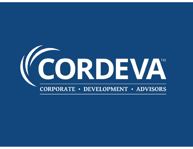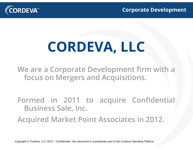

### **CORDEVA, LLC**

**We are <sup>a</sup> Corporate Development firm with <sup>a</sup> focus on Mergers and Acquisitions.**

**Formed in 2011 to acquire Confidential Business Sale, Inc.**

**Acquired Market Point Associates in 2012.**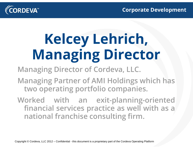

# **Kelcey Lehrich, Managing Director**

**Managing Director of Cordeva, LLC.**

**Managing Partner of AMI Holdings which has two operating portfolio companies.**

**Worked with an exit-planning-oriented financial services practice as well with as <sup>a</sup> national franchise consulting firm.**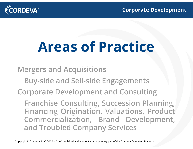

### **Areas of Practice**

**Mergers and Acquisitions**

- **Buy-side and Sell-side Engagements**
- **Corporate Development and Consulting**

**Franchise Consulting, Succession Planning, Financing Origination, Valuations, Product Commercialization, Brand Development, and Troubled Company Services**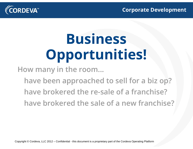

# **Business Opportunities!**

**How many in the room...**

**have been approached to sell for <sup>a</sup> biz op? have brokered the re-sale of a franchise?have brokered the sale of a new franchise?**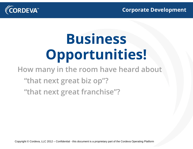

# **Business Opportunities!**

**How many in the room have heard about**

**"that next great biz op"?**

**"that next great franchise"?**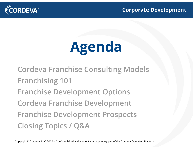

# **Agenda**

**Cordeva Franchise Consulting Models Franchising 101 Franchise Development Options Cordeva Franchise Development Franchise Development Prospects Closing Topics / Q&A**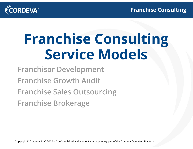

## **Franchise Consulting Service Models**

**Franchisor Development**

**Franchise Growth Audit**

**Franchise Sales Outsourcing**

**Franchise Brokerage**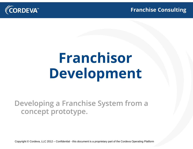



# **Franchisor Development**

**Developing a Franchise System from a concept prototype.**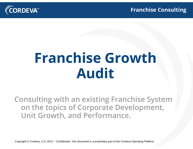



### **Franchise Growth Audit**

**Consulting with an existing Franchise System on the topics of Corporate Development, Unit Growth, and Performance.**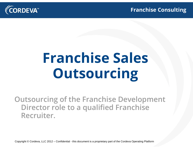

# **Franchise Sales Outsourcing**

**Outsourcing of the Franchise Development Director role to a qualified Franchise Recruiter.**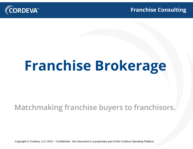

# **Franchise Brokerage**

#### **Matchmaking franchise buyers to franchisors.**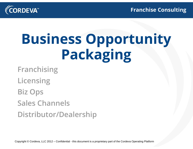

# **Business Opportunity Packaging**

**Franchising**

**Licensing**

**Biz Ops**

**Sales Channels**

**Distributor/Dealership**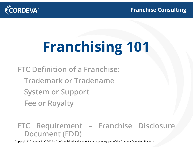

# **Franchising 101**

- **FTC Definition of a Franchise:**
	- **Trademark or Tradename**
	- **System or Support**
	- **Fee or Royalty**

#### **FTC Requirement – Franchise Disclosure Document (FDD)**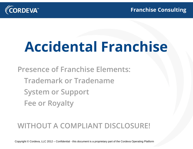

### **Accidental Franchise**

**Presence of Franchise Elements: Trademark or TradenameSystem or Support Fee or Royalty**

#### **WITHOUT A COMPLIANT DISCLOSURE!**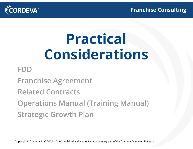

### **Practical Considerations**

#### **FDD**

**Franchise Agreement**

**Related Contracts**

**Operations Manual (Training Manual) Strategic Growth Plan**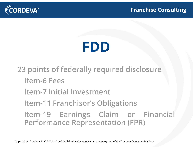

#### **FDD**

**23 points of federally required disclosure Item-6 FeesItem-7 Initial Investment Item-11 Franchisor's Obligations Item-19 Earnings Claim or Financial Performance Representation (FPR)**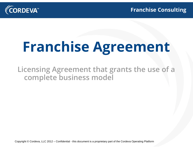

# **Franchise Agreement**

**Licensing Agreement that grants the use of <sup>a</sup> complete business model**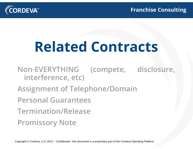

### **Related Contracts**

**Non-EVERYTHING (compete, disclosure, interference, etc) Assignment of Telephone/Domain Personal GuaranteesTermination/ReleasePromissory Note**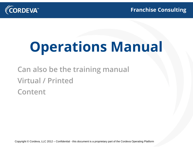

## **Operations Manual**

**Can also be the training manual Virtual / PrintedContent**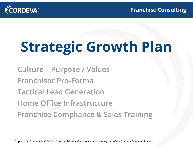

# **Strategic Growth Plan**

**Culture – Purpose / Values Franchisor Pro-FormaTactical Lead GenerationHome Office InfrastructureFranchise Compliance & Sales Training**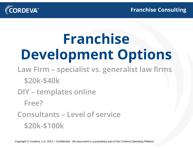

### **Franchise Development Options**

- **Law Firm – specialist vs. generalist law firms \$20k-\$40k**
- **DIY – templates online**

**Free?**

**Consultants – Level of service\$20k-\$100k**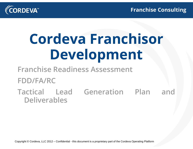

# **Cordeva Franchisor Development**

**Franchise Readiness Assessment**

#### **FDD/FA/RC**

#### **Tactical Lead Generation Plan andDeliverables**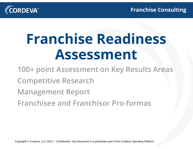

## **Franchise Readiness Assessment**

- **100+ point Assessment on Key Results Areas Competitive Research Management Report**
- **Franchisee and Franchisor Pro-formas**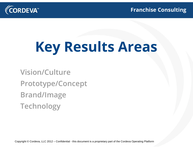

# **Key Results Areas**

**Vision/CulturePrototype/Concept Brand/Image Technology**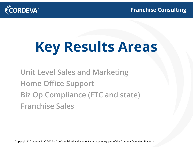

# **Key Results Areas**

#### **Unit Level Sales and Marketing Home Office Support Biz Op Compliance (FTC and state) Franchise Sales**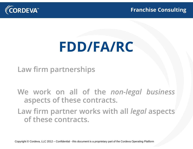

#### **FDD/FA/RC**

**Law firm partnerships**

**We work on all of the** *non-legal business* **aspects of these contracts.**

**Law firm partner works with all** *legal* **aspects of these contracts.**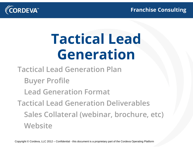

## **Tactical Lead Generation**

**Tactical Lead Generation Plan**

**Buyer Profile**

**Lead Generation Format**

**Tactical Lead Generation Deliverables Sales Collateral (webinar, brochure, etc) Website**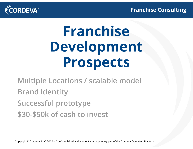

# **Franchise Development Prospects**

**Multiple Locations / scalable model Brand Identity Successful prototype \$30-\$50k of cash to invest**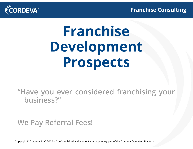

# **Franchise Development Prospects**

**"Have you ever considered franchising your business?"**

**We Pay Referral Fees!**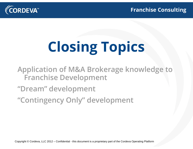

# **Closing Topics**

**Application of M&A Brokerage knowledge to Franchise Development**

#### **"Dream" development**

**"Contingency Only" development**